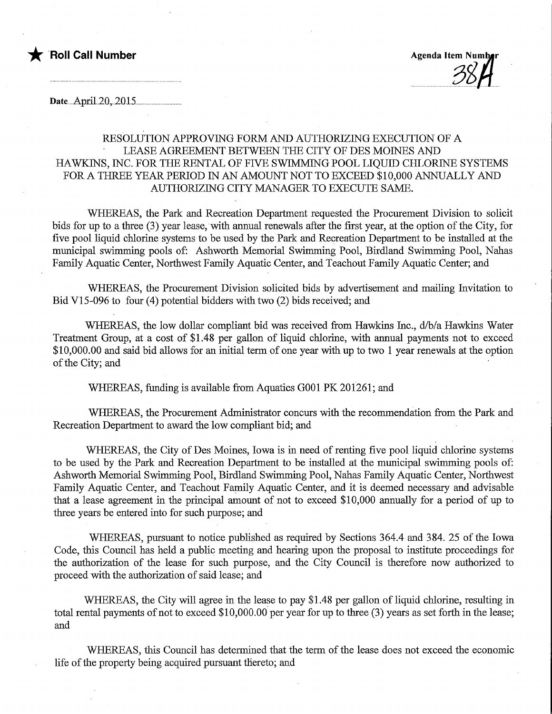

Date....April..2.Q,.2.Q15..

### RESOLUTION APPROVING FORM AND AUTHORIZING EXECUTION OF A LEASE AGREEMENT BETWEEN THE CITY OF DES MOINES AND HAWKINS, INC. FOR THE RENTAL OF FIVE SWIMMING POOL LIQUID CHLORINE SYSTEMS FOR A THREE YEAR PERIOD IN AN AMOUNT NOT TO EXCEED \$10,000 ANNUALLY AND AUTHORIZING CITY MANAGER TO EXECUTE SAME.

WHEREAS, the Park and Recreation Department requested the Procurement Division to solicit bids for up to a three (3) year lease, with annual renewals after the first year, at the option of the City, for five pool liquid chlorine systems to be used by the Park and Recreation Department to be installed at the municipal swimming pools of: Ashworth Memorial Swimming Pool, Birdland Swimming Pool, Nahas Family Aquatic Center, Northwest Family Aquatic Center, and Teachout Family Aquatic Center; and

WHEREAS, the Procurement Division solicited bids by advertisement and mailing Invitation to Bid V15-096 to four (4) potential bidders with two (2) bids received; and

WHEREAS, the low dollar compliant bid was received from Hawkins Inc.,  $d/b/a$  Hawkins Water Treatment Group, at a cost of \$1.48 per gallon of liquid chlorme, with annual payments not to exceed \$10,000.00 and said bid allows for an initial term of one year with up to two 1 year renewals at the option of the City; and

WHEREAS, funding is available from Aquatics G001 PK 201261; and

WHEREAS, the Procurement Administrator concurs with the recommendation from the Park and Recreation Department to award the low compliant bid; and

WHEREAS, the City of Des Moines, Iowa is in need of renting five pool liquid chlorine systems to be used by the Park and Recreation Department to be installed at the municipal swimming pools of: Ashworth Memorial Swimming Pool, Birdland Swimming Pool, Nahas Family Aquatic Center, Northwest Family Aquatic Center, and Teachout Family Aquatic Center, and it is deemed necessary and advisable that a lease agreement in the principal amount of not to exceed \$10,000 annually for a period of up to three years be entered into for such purpose; and

WHEREAS, pursuant to notice published as required by Sections 364.4 and 384. 25 of the Iowa Code, this Council has held a public meeting and hearing upon the proposal to institute proceedings for the authorization of the lease for such purpose, and the City Council is therefore now authorized to proceed with the authorization of said lease; and

WHEREAS, the City will agree in the lease to pay \$1.48 per gallon of liquid chlorine, resulting in total rental payments of not to exceed \$10,000.00 per year for up to three (3) years as set forth in the lease; and

WHEREAS, this Council has determined that the term of the lease does not exceed the economic life of the property being acquired pursuant thereto; and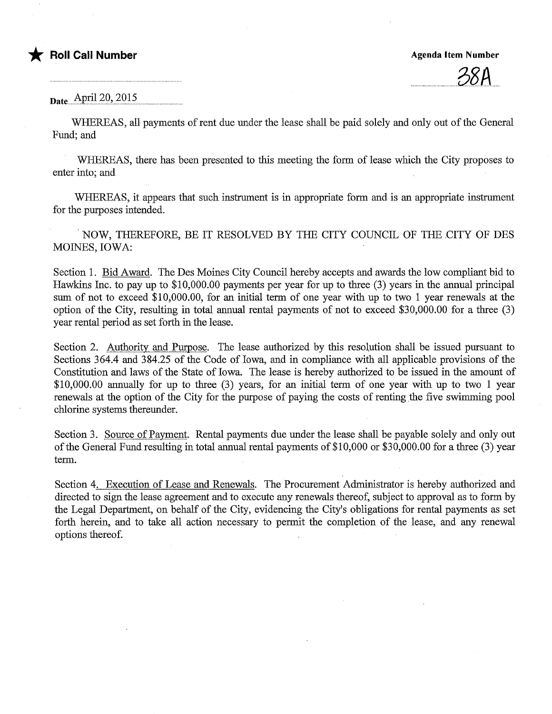

#### Date April 20, 2015

WHEREAS, all payments of rent due under the lease shall be paid solely and only out of the General Fund; and

WHEREAS, there has been presented to this meeting the form of lease which the City proposes to enter into; and

WHEREAS, it appears that such instrument is in appropriate form and is an appropriate instrument for the purposes intended.

NOW, THEREFORE, BE IT RESOLVED BY THE CITY COUNCIL OF THE CITY OF DES MOINES, IOWA:

Section 1. Bid Award. The Des Moines City Council hereby accepts and awards the low compliant bid to Hawkins Inc. to pay up to \$10,000.00 payments per year for up to three (3) years in the annual principal sum of not to exceed \$10,000.00, for an initial term of one year with up to two 1 year renewals at the option of the City, resulting in total annual rental payments of not to exceed \$30,000.00 for a three (3) year rental period as set forth in the lease.

Section 2. Authority and Purpose. The lease authorized by this resolution shall be issued pursuant to Sections 364.4 and 384.25 of the Code of Iowa, and in compliance with all applicable provisions of the Constitution and laws of the State of Iowa. The lease is hereby authorized to be issued in the amount of \$10,000.00 annually for up to three (3) years, for an initial term of one year with up to two 1 year renewals at the option of the City for the purpose of paying the costs of renting the five swimming pool chlorine systems thereunder.

Section 3. Source of Payment. Rental payments due under the lease shall be payable solely and only out of the General Fund resulting in total annual rental payments of \$10,000 or \$30,000.00 for a three (3) year term.

Section 4. Execution of Lease and Renewals. The Procurement Admimstrator is hereby authorized and directed to sign the lease agreement and to execute any renewals thereof, subject to approval as to form by the Legal Department, on behalf of the City, evidencing the City's obligations for rental payments as set forth herein, and to take all action necessary to permit the completion of the lease, and any renewal options thereof.